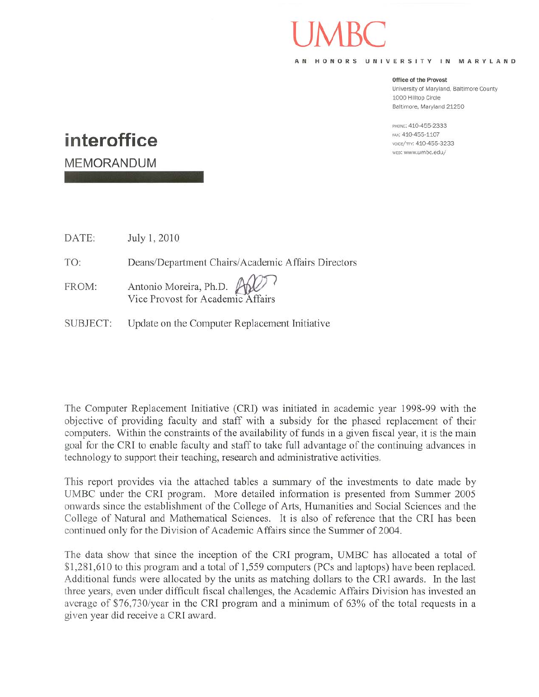AN HONORS UNIVERSITY IN MARYLAND

## Office of the Provost

University of Maryland, Baltimore County 1000 Hilltop Circle Baltimore, Maryland 21250

PHONE: 410-455-2333 FAX: 410-455-1107 voice/тту: 410-455-3233 wrs: www.umbc.edu/

## interoffice

**MEMORANDUM** 

DATE: July 1, 2010

TO: Deans/Department Chairs/Academic Affairs Directors

- Antonio Moreira, Ph.D. FROM: Vice Provost for Academic Affairs
- SUBJECT: Update on the Computer Replacement Initiative

The Computer Replacement Initiative (CRI) was initiated in academic year 1998-99 with the objective of providing faculty and staff with a subsidy for the phased replacement of their computers. Within the constraints of the availability of funds in a given fiscal year, it is the main goal for the CRI to enable faculty and staff to take full advantage of the continuing advances in technology to support their teaching, research and administrative activities.

This report provides via the attached tables a summary of the investments to date made by UMBC under the CRI program. More detailed information is presented from Summer 2005 onwards since the establishment of the College of Arts, Humanities and Social Sciences and the College of Natural and Mathematical Sciences. It is also of reference that the CRI has been continued only for the Division of Academic Affairs since the Summer of 2004.

The data show that since the inception of the CRI program, UMBC has allocated a total of \$1,281,610 to this program and a total of 1,559 computers (PCs and laptops) have been replaced. Additional funds were allocated by the units as matching dollars to the CRI awards. In the last three years, even under difficult fiscal challenges, the Academic Affairs Division has invested an average of \$76,730/year in the CRI program and a minimum of 63% of the total requests in a given year did receive a CRI award.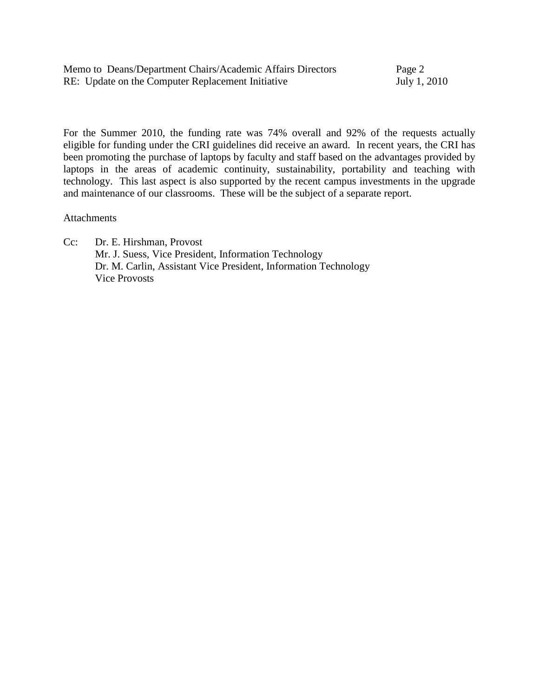| Memo to Deans/Department Chairs/Academic Affairs Directors | Page 2       |
|------------------------------------------------------------|--------------|
| RE: Update on the Computer Replacement Initiative          | July 1, 2010 |

For the Summer 2010, the funding rate was 74% overall and 92% of the requests actually eligible for funding under the CRI guidelines did receive an award. In recent years, the CRI has been promoting the purchase of laptops by faculty and staff based on the advantages provided by laptops in the areas of academic continuity, sustainability, portability and teaching with technology. This last aspect is also supported by the recent campus investments in the upgrade and maintenance of our classrooms. These will be the subject of a separate report.

## Attachments

Cc: Dr. E. Hirshman, Provost Mr. J. Suess, Vice President, Information Technology Dr. M. Carlin, Assistant Vice President, Information Technology Vice Provosts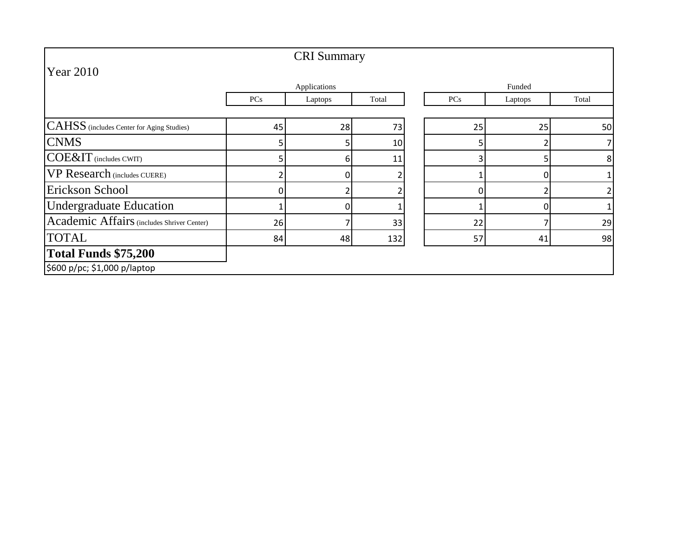|                                            |     | <b>CRI</b> Summary |       |                |         |       |
|--------------------------------------------|-----|--------------------|-------|----------------|---------|-------|
| <b>Year 2010</b>                           |     |                    |       |                |         |       |
|                                            |     | Applications       |       |                | Funded  |       |
|                                            | PCs | Laptops            | Total | PCs            | Laptops | Total |
|                                            |     |                    |       |                |         |       |
| CAHSS (includes Center for Aging Studies)  | 45  | 28                 | 73    | 25             | 25      | 50    |
| <b>CNMS</b>                                |     |                    | 10    | 5 <sub>1</sub> |         |       |
| COE&IT (includes CWIT)                     |     | 6                  | 11    | $\overline{3}$ | 5       | 8     |
| <b>VP Research</b> (includes CUERE)        |     | n                  |       |                | 0       |       |
| Erickson School                            |     |                    |       |                |         | 2     |
| <b>Undergraduate Education</b>             |     | n                  |       |                | 0       |       |
| Academic Affairs (includes Shriver Center) | 26  |                    | 33    | 22             |         | 29    |
| <b>TOTAL</b>                               | 84  | 48                 | 132   | 57             | 41      | 98    |
| Total Funds \$75,200                       |     |                    |       |                |         |       |
| \$600 p/pc; \$1,000 p/laptop               |     |                    |       |                |         |       |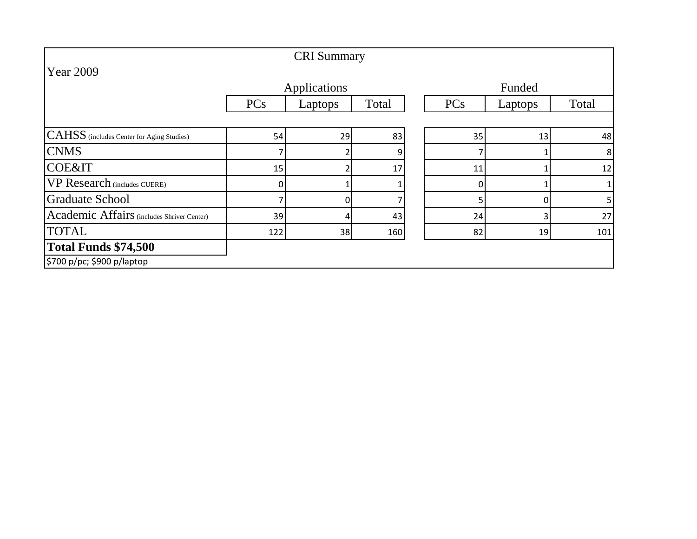|                                            |            | <b>CRI</b> Summary |       |          |                |              |
|--------------------------------------------|------------|--------------------|-------|----------|----------------|--------------|
| <b>Year 2009</b>                           |            |                    |       |          |                |              |
|                                            |            | Applications       |       |          |                |              |
|                                            | <b>PCs</b> | Laptops            | Total | PCs      | Laptops        | Total        |
|                                            |            |                    |       |          |                |              |
| CAHSS (includes Center for Aging Studies)  | 54         | 29                 | 83    | 35       | 13             | 48           |
| <b>CNMS</b>                                |            |                    | 9     |          |                | 8            |
| <b>COE&amp;IT</b>                          | 15         |                    | 17    | 11       |                | 12           |
| <b>VP Research</b> (includes CUERE)        | 0          |                    |       | $\Omega$ |                | $\mathbf{1}$ |
| Graduate School                            |            |                    |       |          | 0              | 5            |
| Academic Affairs (includes Shriver Center) | 39         | 4                  | 43    | 24       | $\overline{3}$ | 27           |
| <b>TOTAL</b>                               | 122        | 38                 | 160   | 82       | 19             | 101          |
| <b>Total Funds \$74,500</b>                |            |                    |       |          |                |              |
| \$700 p/pc; \$900 p/laptop                 |            |                    |       |          |                |              |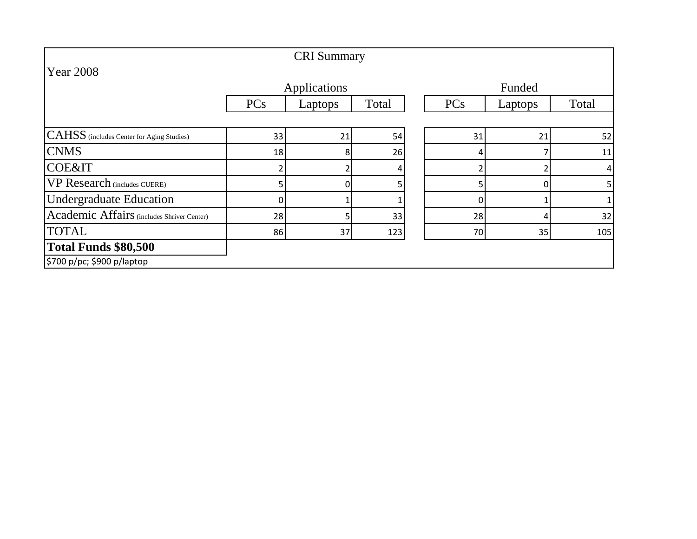|                                            |            | <b>CRI</b> Summary |       |        |         |       |
|--------------------------------------------|------------|--------------------|-------|--------|---------|-------|
| <b>Year 2008</b>                           |            |                    |       |        |         |       |
|                                            |            | Applications       |       | Funded |         |       |
|                                            | <b>PCs</b> | Laptops            | Total | PCs    | Laptops | Total |
|                                            |            |                    |       |        |         |       |
| CAHSS (includes Center for Aging Studies)  | 33         | 21                 | 54    | 31     | 21      | 52    |
| <b>CNMS</b>                                | 18         | 8                  | 26    |        |         | 11    |
| <b>COE&amp;IT</b>                          |            |                    |       |        |         | 4     |
| <b>VP Research</b> (includes CUERE)        |            | 0                  |       |        | 0       | 5     |
| <b>Undergraduate Education</b>             |            |                    |       |        |         |       |
| Academic Affairs (includes Shriver Center) | 28         |                    | 33    | 28     | 4       | 32    |
| <b>TOTAL</b>                               | 86         | 37                 | 123   | 70     | 35      | 105   |
| Total Funds \$80,500                       |            |                    |       |        |         |       |
| \$700 p/pc; \$900 p/laptop                 |            |                    |       |        |         |       |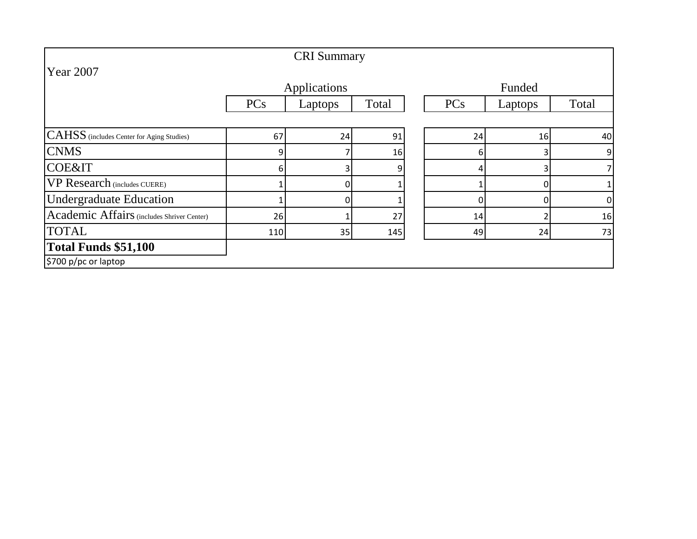|                                            |            | <b>CRI</b> Summary |       |     |                     |              |  |
|--------------------------------------------|------------|--------------------|-------|-----|---------------------|--------------|--|
| Year 2007                                  |            |                    |       |     |                     |              |  |
|                                            |            | Applications       |       |     | Funded              |              |  |
|                                            | <b>PCs</b> | Laptops            | Total | PCs | Laptops             | Total        |  |
|                                            |            |                    |       |     |                     |              |  |
| CAHSS (includes Center for Aging Studies)  | 67         | 24                 | 91    | 24  | 16                  | 40           |  |
| <b>CNMS</b>                                | 9          |                    | 16    |     | $\overline{3}$<br>6 | 9            |  |
| <b>COE&amp;IT</b>                          | 6          |                    | 9     |     | 3                   | 7            |  |
| <b>VP Research</b> (includes CUERE)        |            | $\Omega$           |       |     | 0                   | $\mathbf{1}$ |  |
| <b>Undergraduate Education</b>             |            | $\Omega$           |       |     | 0                   | 0            |  |
| Academic Affairs (includes Shriver Center) | 26         |                    | 27    | 14  | 2                   | 16           |  |
| <b>TOTAL</b>                               | 110        | 35                 | 145   | 49  | 24                  | 73           |  |
| Total Funds \$51,100                       |            |                    |       |     |                     |              |  |
| \$700 p/pc or laptop                       |            |                    |       |     |                     |              |  |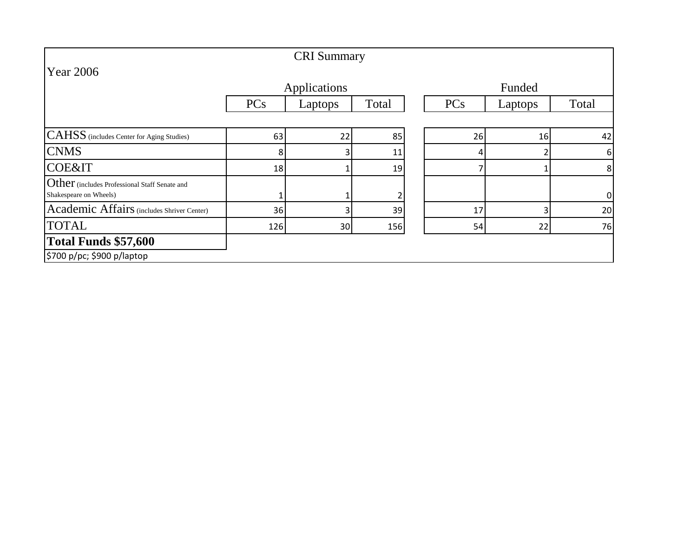| <b>CRI</b> Summary                                                      |            |              |       |  |        |         |       |
|-------------------------------------------------------------------------|------------|--------------|-------|--|--------|---------|-------|
| <b>Year 2006</b>                                                        |            |              |       |  |        |         |       |
|                                                                         |            | Applications |       |  | Funded |         |       |
|                                                                         | <b>PCs</b> | Laptops      | Total |  | PCs    | Laptops | Total |
|                                                                         |            |              |       |  |        |         |       |
| <b>CAHSS</b> (includes Center for Aging Studies)                        | 63         | 22           | 85    |  | 26     | 16      | 42    |
| <b>CNMS</b>                                                             | 8          |              | 11    |  |        |         | 6     |
| <b>COE&amp;IT</b>                                                       | 18         |              | 19    |  |        |         | 8     |
| Other (includes Professional Staff Senate and<br>Shakespeare on Wheels) |            |              |       |  |        |         | 0     |
| Academic Affairs (includes Shriver Center)                              | 36         |              | 39    |  | 17     | 3       | 20    |
| <b>TOTAL</b>                                                            | 126        | 30           | 156   |  | 54     | 22      | 76    |
| <b>Total Funds \$57,600</b>                                             |            |              |       |  |        |         |       |
| \$700 p/pc; \$900 p/laptop                                              |            |              |       |  |        |         |       |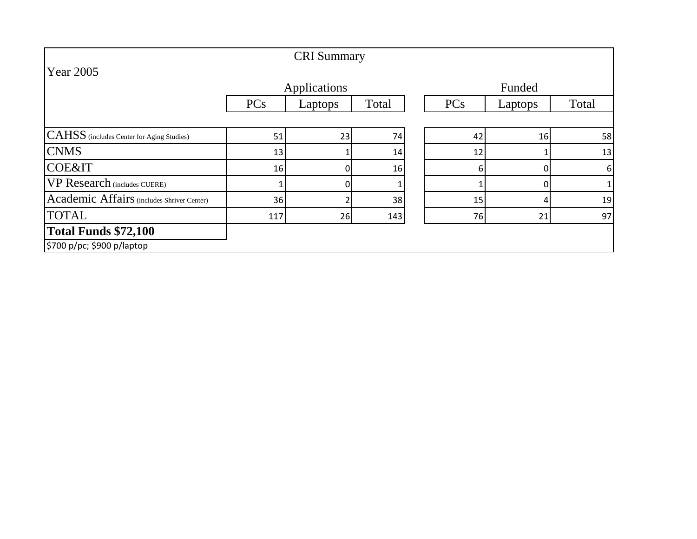|                                            |            | <b>CRI</b> Summary |       |     |         |                  |
|--------------------------------------------|------------|--------------------|-------|-----|---------|------------------|
| <b>Year 2005</b>                           |            |                    |       |     |         |                  |
|                                            |            | Applications       |       |     | Funded  |                  |
|                                            | <b>PCs</b> | Laptops            | Total | PCs | Laptops | Total            |
|                                            |            |                    |       |     |         |                  |
| CAHSS (includes Center for Aging Studies)  | 51         | 23                 | 74    | 42  | 16      | 58               |
| <b>CNMS</b>                                | 13         |                    | 14    | 12  |         | 13               |
| <b>COE&amp;IT</b>                          | 16         |                    | 16    | 61  | 0       | $\boldsymbol{6}$ |
| VP Research (includes CUERE)               |            |                    |       |     | 0       | 1                |
| Academic Affairs (includes Shriver Center) | 36         |                    | 38    | 15  | 4       | 19               |
| <b>TOTAL</b>                               | 117        | 26                 | 143   | 76  | 21      | 97               |
| <b>Total Funds \$72,100</b>                |            |                    |       |     |         |                  |
| \$700 p/pc; \$900 p/laptop                 |            |                    |       |     |         |                  |